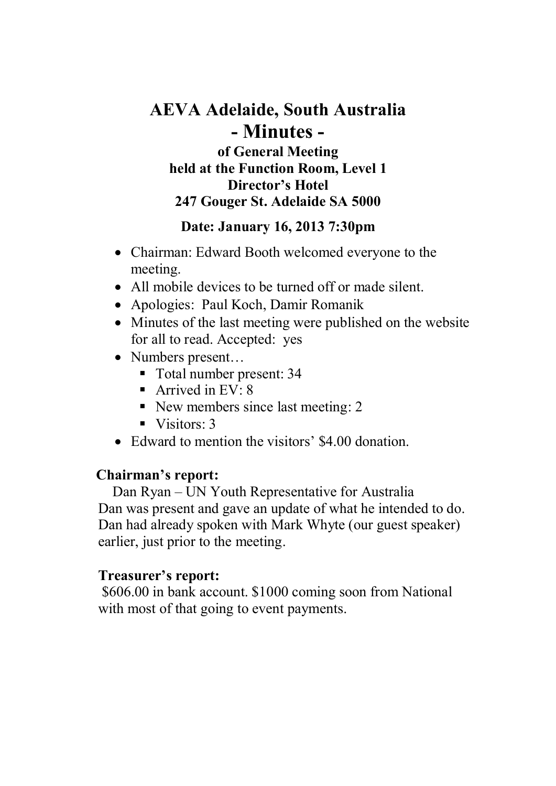# **AEVA Adelaide, South Australia - Minutes of General Meeting held at the Function Room, Level 1 Director's Hotel 247 Gouger St. Adelaide SA 5000**

### **Date: January 16, 2013 7:30pm**

- Chairman: Edward Booth welcomed everyone to the meeting.
- All mobile devices to be turned off or made silent.
- Apologies: Paul Koch, Damir Romanik
- Minutes of the last meeting were published on the website for all to read. Accepted: yes
- Numbers present...
	- Total number present: 34
	- Arrived in  $EV: 8$
	- New members since last meeting: 2
	- $\blacksquare$  Visitors: 3
- Edward to mention the visitors' \$4.00 donation.

### **Chairman's report:**

Dan Ryan – UN Youth Representative for Australia Dan was present and gave an update of what he intended to do. Dan had already spoken with Mark Whyte (our guest speaker) earlier, just prior to the meeting.

# **Treasurer's report:**

 \$606.00 in bank account. \$1000 coming soon from National with most of that going to event payments.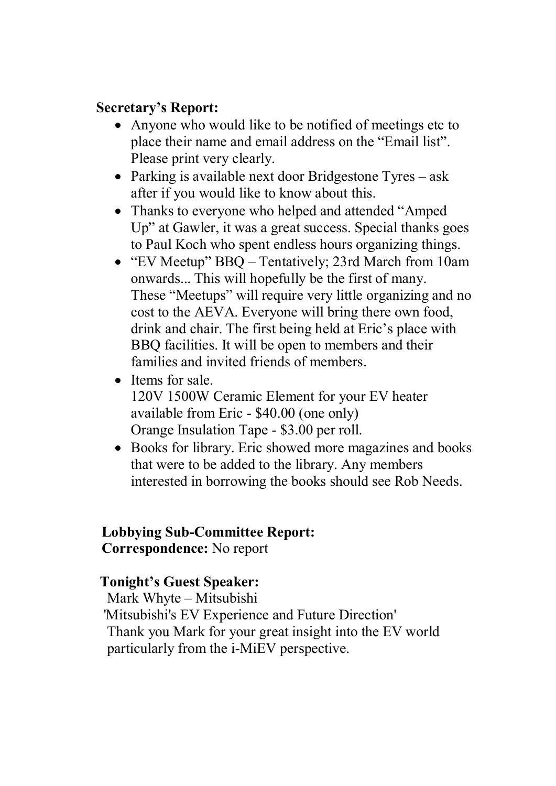### **Secretary's Report:**

- Anyone who would like to be notified of meetings etc to place their name and email address on the "Email list". Please print very clearly.
- Parking is available next door Bridgestone Tyres ask after if you would like to know about this.
- Thanks to everyone who helped and attended "Amped" Up" at Gawler, it was a great success. Special thanks goes to Paul Koch who spent endless hours organizing things.
- "EV Meetup" BBQ Tentatively; 23rd March from 10am onwards... This will hopefully be the first of many. These "Meetups" will require very little organizing and no cost to the AEVA. Everyone will bring there own food, drink and chair. The first being held at Eric's place with BBQ facilities. It will be open to members and their families and invited friends of members.
- Items for sale.

120V 1500W Ceramic Element for your EV heater available from Eric - \$40.00 (one only) Orange Insulation Tape - \$3.00 per roll.

• Books for library. Eric showed more magazines and books that were to be added to the library. Any members interested in borrowing the books should see Rob Needs.

# **Lobbying Sub-Committee Report:**

**Correspondence:** No report

### **Tonight's Guest Speaker:**

Mark Whyte – Mitsubishi 'Mitsubishi's EV Experience and Future Direction' Thank you Mark for your great insight into the EV world particularly from the i-MiEV perspective.